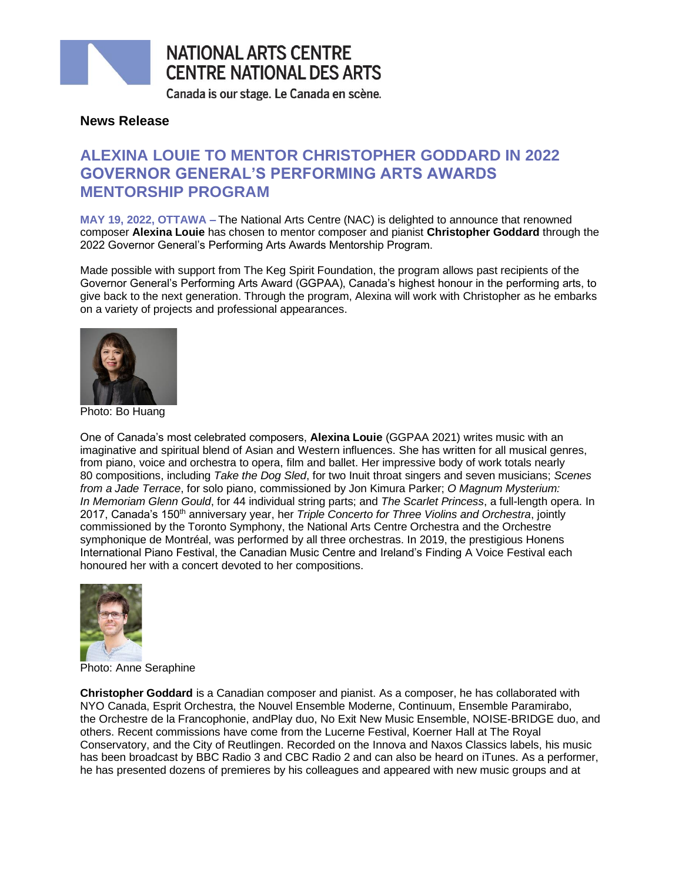

# **NATIONAL ARTS CENTRE CENTRE NATIONAL DES ARTS**

Canada is our stage. Le Canada en scène.

### **News Release**

## **ALEXINA LOUIE TO MENTOR CHRISTOPHER GODDARD IN 2022 GOVERNOR GENERAL'S PERFORMING ARTS AWARDS MENTORSHIP PROGRAM**

**MAY 19, 2022, OTTAWA –** The National Arts Centre (NAC) is delighted to announce that renowned composer **Alexina Louie** has chosen to mentor composer and pianist **Christopher Goddard** through the 2022 Governor General's Performing Arts Awards Mentorship Program.

Made possible with support from The Keg Spirit Foundation, the program allows past recipients of the Governor General's Performing Arts Award (GGPAA), Canada's highest honour in the performing arts, to give back to the next generation. Through the program, Alexina will work with Christopher as he embarks on a variety of projects and professional appearances.



Photo: Bo Huang

One of Canada's most celebrated composers, **Alexina Louie** (GGPAA 2021) writes music with an imaginative and spiritual blend of Asian and Western influences. She has written for all musical genres, from piano, voice and orchestra to opera, film and ballet. Her impressive body of work totals nearly 80 compositions, including *Take the Dog Sled*, for two Inuit throat singers and seven musicians; *Scenes from a Jade Terrace*, for solo piano, commissioned by Jon Kimura Parker; *O Magnum Mysterium: In Memoriam Glenn Gould*, for 44 individual string parts; and *The Scarlet Princess*, a full-length opera. In 2017, Canada's 150th anniversary year, her *Triple Concerto for Three Violins and Orchestra*, jointly commissioned by the Toronto Symphony, the National Arts Centre Orchestra and the Orchestre symphonique de Montréal, was performed by all three orchestras. In 2019, the prestigious Honens International Piano Festival, the Canadian Music Centre and Ireland's Finding A Voice Festival each honoured her with a concert devoted to her compositions.



Photo: Anne Seraphine

**Christopher Goddard** is a Canadian composer and pianist. As a composer, he has collaborated with NYO Canada, Esprit Orchestra, the Nouvel Ensemble Moderne, Continuum, Ensemble Paramirabo, the Orchestre de la Francophonie, andPlay duo, No Exit New Music Ensemble, NOISE-BRIDGE duo, and others. Recent commissions have come from the Lucerne Festival, Koerner Hall at The Royal Conservatory, and the City of Reutlingen. Recorded on the Innova and Naxos Classics labels, his music has been broadcast by BBC Radio 3 and CBC Radio 2 and can also be heard on iTunes. As a performer, he has presented dozens of premieres by his colleagues and appeared with new music groups and at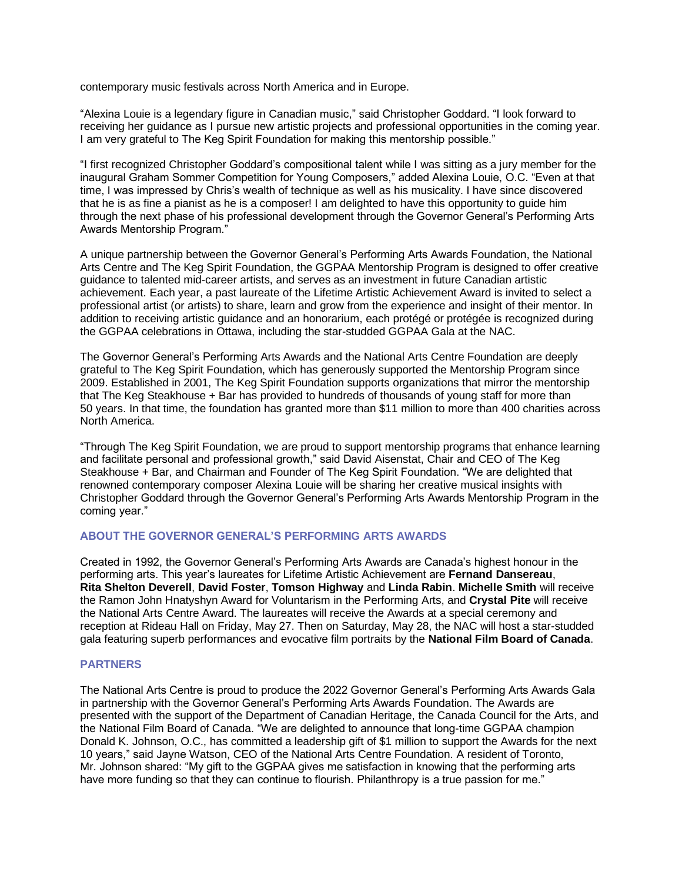contemporary music festivals across North America and in Europe.

"Alexina Louie is a legendary figure in Canadian music," said Christopher Goddard. "I look forward to receiving her guidance as I pursue new artistic projects and professional opportunities in the coming year. I am very grateful to The Keg Spirit Foundation for making this mentorship possible."

"I first recognized Christopher Goddard's compositional talent while I was sitting as a jury member for the inaugural Graham Sommer Competition for Young Composers," added Alexina Louie, O.C. "Even at that time, I was impressed by Chris's wealth of technique as well as his musicality. I have since discovered that he is as fine a pianist as he is a composer! I am delighted to have this opportunity to guide him through the next phase of his professional development through the Governor General's Performing Arts Awards Mentorship Program."

A unique partnership between the Governor General's Performing Arts Awards Foundation, the National Arts Centre and The Keg Spirit Foundation, the GGPAA Mentorship Program is designed to offer creative guidance to talented mid-career artists, and serves as an investment in future Canadian artistic achievement. Each year, a past laureate of the Lifetime Artistic Achievement Award is invited to select a professional artist (or artists) to share, learn and grow from the experience and insight of their mentor. In addition to receiving artistic guidance and an honorarium, each protégé or protégée is recognized during the GGPAA celebrations in Ottawa, including the star-studded GGPAA Gala at the NAC.

The Governor General's Performing Arts Awards and the National Arts Centre Foundation are deeply grateful to The Keg Spirit Foundation, which has generously supported the Mentorship Program since 2009. Established in 2001, The Keg Spirit Foundation supports organizations that mirror the mentorship that The Keg Steakhouse + Bar has provided to hundreds of thousands of young staff for more than 50 years. In that time, the foundation has granted more than \$11 million to more than 400 charities across North America.

"Through The Keg Spirit Foundation, we are proud to support mentorship programs that enhance learning and facilitate personal and professional growth," said David Aisenstat, Chair and CEO of The Keg Steakhouse + Bar, and Chairman and Founder of The Keg Spirit Foundation. "We are delighted that renowned contemporary composer Alexina Louie will be sharing her creative musical insights with Christopher Goddard through the Governor General's Performing Arts Awards Mentorship Program in the coming year."

#### **ABOUT THE GOVERNOR GENERAL'S PERFORMING ARTS AWARDS**

Created in 1992, the Governor General's Performing Arts Awards are Canada's highest honour in the performing arts. This year's laureates for Lifetime Artistic Achievement are **Fernand Dansereau**, **Rita Shelton Deverell**, **David Foster**, **Tomson Highway** and **Linda Rabin**. **Michelle Smith** will receive the Ramon John Hnatyshyn Award for Voluntarism in the Performing Arts, and **Crystal Pite** will receive the National Arts Centre Award. The laureates will receive the Awards at a special ceremony and reception at Rideau Hall on Friday, May 27. Then on Saturday, May 28, the NAC will host a star-studded gala featuring superb performances and evocative film portraits by the **National Film Board of Canada**.

#### **PARTNERS**

The National Arts Centre is proud to produce the 2022 Governor General's Performing Arts Awards Gala in partnership with the Governor General's Performing Arts Awards Foundation. The Awards are presented with the support of the Department of Canadian Heritage, the Canada Council for the Arts, and the National Film Board of Canada. "We are delighted to announce that long-time GGPAA champion Donald K. Johnson, O.C., has committed a leadership gift of \$1 million to support the Awards for the next 10 years," said Jayne Watson, CEO of the National Arts Centre Foundation. A resident of Toronto, Mr. Johnson shared: "My gift to the GGPAA gives me satisfaction in knowing that the performing arts have more funding so that they can continue to flourish. Philanthropy is a true passion for me."